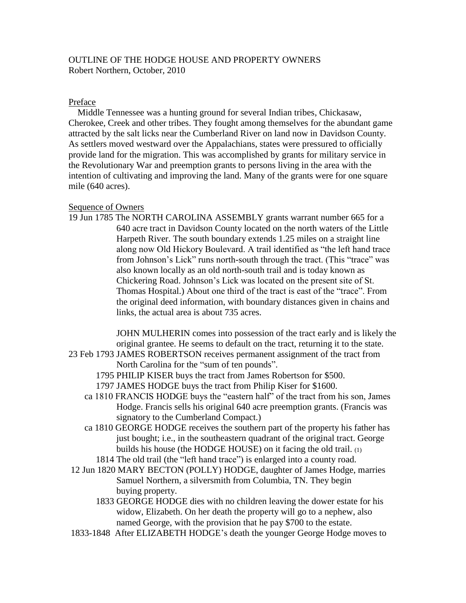## OUTLINE OF THE HODGE HOUSE AND PROPERTY OWNERS Robert Northern, October, 2010

## Preface

 Middle Tennessee was a hunting ground for several Indian tribes, Chickasaw, Cherokee, Creek and other tribes. They fought among themselves for the abundant game attracted by the salt licks near the Cumberland River on land now in Davidson County. As settlers moved westward over the Appalachians, states were pressured to officially provide land for the migration. This was accomplished by grants for military service in the Revolutionary War and preemption grants to persons living in the area with the intention of cultivating and improving the land. Many of the grants were for one square mile (640 acres).

## Sequence of Owners

19 Jun 1785 The NORTH CAROLINA ASSEMBLY grants warrant number 665 for a 640 acre tract in Davidson County located on the north waters of the Little Harpeth River. The south boundary extends 1.25 miles on a straight line along now Old Hickory Boulevard. A trail identified as "the left hand trace from Johnson's Lick" runs north-south through the tract. (This "trace" was also known locally as an old north-south trail and is today known as Chickering Road. Johnson's Lick was located on the present site of St. Thomas Hospital.) About one third of the tract is east of the "trace". From the original deed information, with boundary distances given in chains and links, the actual area is about 735 acres.

 JOHN MULHERIN comes into possession of the tract early and is likely the original grantee. He seems to default on the tract, returning it to the state.

- 23 Feb 1793 JAMES ROBERTSON receives permanent assignment of the tract from North Carolina for the "sum of ten pounds".
	- 1795 PHILIP KISER buys the tract from James Robertson for \$500.
	- 1797 JAMES HODGE buys the tract from Philip Kiser for \$1600.
	- ca 1810 FRANCIS HODGE buys the "eastern half" of the tract from his son, James Hodge. Francis sells his original 640 acre preemption grants. (Francis was signatory to the Cumberland Compact.)
	- ca 1810 GEORGE HODGE receives the southern part of the property his father has just bought; i.e., in the southeastern quadrant of the original tract. George builds his house (the HODGE HOUSE) on it facing the old trail. (1)
		- 1814 The old trail (the "left hand trace") is enlarged into a county road.
- 12 Jun 1820 MARY BECTON (POLLY) HODGE, daughter of James Hodge, marries Samuel Northern, a silversmith from Columbia, TN. They begin buying property.
	- 1833 GEORGE HODGE dies with no children leaving the dower estate for his widow, Elizabeth. On her death the property will go to a nephew, also named George, with the provision that he pay \$700 to the estate.
- 1833-1848 After ELIZABETH HODGE's death the younger George Hodge moves to